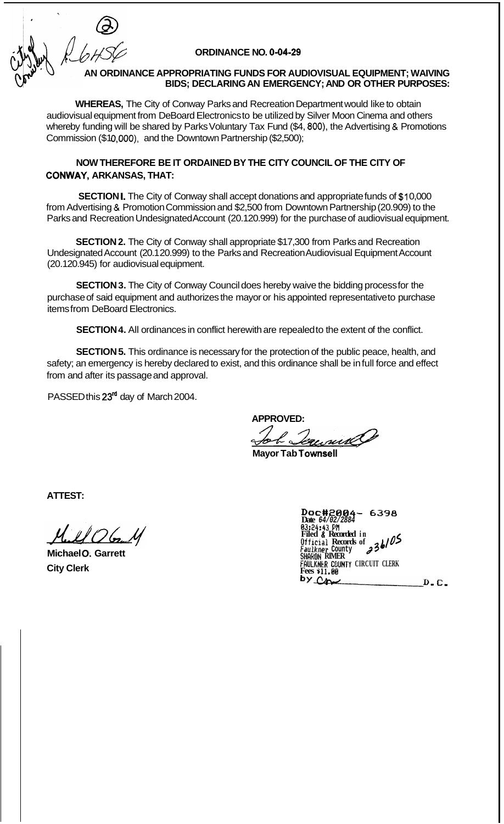## **ORDINANCE NO. 0-04-29**

## **AN ORDINANCE APPROPRIATING FUNDS FOR AUDIOVISUAL EQUIPMENT; WAIVING BIDS; DECLARING AN EMERGENCY; AND OR OTHER PURPOSES:**

**WHEREAS,** The City of Conway Parks and Recreation Department would like to obtain audiovisual equipment from DeBoard Electronics to be utilized by Silver Moon Cinema and others whereby funding will be shared by Parks Voluntary Tax Fund (\$4, **800),** the Advertising & Promotions Commission (\$10,000), and the Downtown Partnership (\$2,500);

# **NOW THEREFORE BE IT ORDAINED BY THE CITY COUNCIL OF THE CITY OF CONWAY, ARKANSAS, THAT:**

**SECTION I.** The City of Conway shall accept donations and appropriate funds of \$10,000 from Advertising & Promotion Commission and \$2,500 from Downtown Partnership (20.909) to the Parks and Recreation Undesignated Account (20.1 20.999) for the purchase of audiovisual equipment.

**SECTION 2.** The City of Conway shall appropriate \$17,300 from Parks and Recreation Undesignated Account (20.1 20.999) to the Parks and Recreation Audiovisual Equipment Account (20.120.945) for audiovisual equipment.

**SECTION 3.** The City of Conway Council does hereby waive the bidding process for the purchase of said equipment and authorizes the mayor or his appointed representative to purchase items from DeBoard Electronics.

**SECTION 4.** All ordinances in conflict herewith are repealed to the extent of the conflict.

**SECTION 5.** This ordinance is necessary for the protection of the public peace, health, and safety; an emergency is hereby declared to exist, and this ordinance shall be in full force and effect from and after its passage and approval.

PASSED this 23<sup>rd</sup> day of March 2004.

**APPROVED:** 

**Mayor Tab Townsell** 

**ATTEST:** 

**Michael** *0.* **Garrett City Clerk** 

*Dai~#2@84- 6338*  **Date** *64/02/2884 63:24:43* **P# Filed** *B* **Recorded in Ufficial Records of 23b/O5**<br>Faulkner County **23b/O5**<br>SHARON RIMER **FRULKNtR COUNTY CIRCUIT CLERK Fees alf.BO**  $D - C$ .